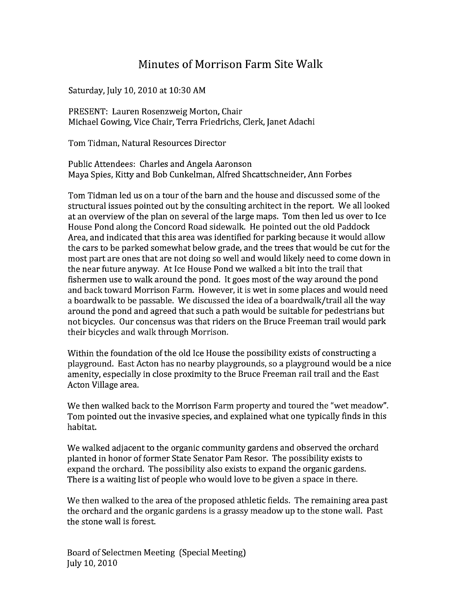## Minutes of Morrison Farm Site Walk

Saturday, July 10, 2010 at 10:30 AM

PRESENT: Lauren Rosenzweig Morton, Chair Michael Gowing, Vice Chair, Terra Friedrichs, Clerk, Janet Adachi

Tom Tidman, Natural Resources Director

Public Attendees: Charles and Angela Aaronson Maya Spies, Kitty and Bob Cunkelman, Alfred Shcattschneider, Ann Forbes

Tom Tidman led us on a tour of the barn and the house and discussed some of the structural issues pointed out by the consulting architect in the report. We all looked at an overview of the plan on several of the large maps. Tom then led us over to Ice House Pond along the Concord Road sidewalk. He pointed out the old Paddock Area, and indicated that this area was identified for parking because it would allow the cars to be parked somewhat below grade, and the trees that would be cut for the most part are ones that are not doing so well and would likely need to come down in the near future anyway. At Ice House Pond we walked a bit into the trail that fishermen use to walk around the pond. It goes most of the way around the pond and back toward Morrison Farm. However, it is wet in some places and would need a boardwalk to be passable. We discussed the idea of a boardwalk/trail all the way around the pond and agreed that such a path would be suitable for pedestrians but not bicycles. Our concensus was that riders on the Bruce Freeman trail would park their bicycles and walk through Morrison.

Within the foundation of the old Ice House the possibility exists of constructing a playground. East Acton has no nearby playgrounds, so a playground would be a nice amenity, especially in close proximity to the Bruce Freeman rail trail and the East Acton Village area.

We then walked back to the Morrison Farm property and toured the "wet meadow". Tom pointed out the invasive species, and explained what one typically finds in this habitat.

We walked adjacent to the organic community gardens and observed the orchard planted in honor of former State Senator Pam Resor. The possibility exists to expand the orchard. The possibility also exists to expand the organic gardens. There is a waiting list of people who would love to be given a space in there.

We then walked to the area of the proposed athletic fields. The remaining area past the orchard and the organic gardens is a grassy meadow up to the stone wall. Past the stone wall is forest.

Board of Selectmen Meeting (Special Meeting) July 10, 2010